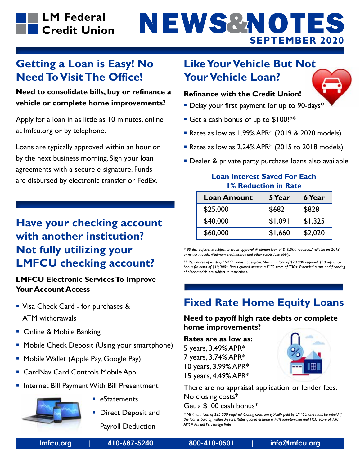

# NEWS&NOTES **SEPTEMBER 2020**

### **Getting a Loan is Easy! No Need To Visit The Office!**

**Need to consolidate bills, buy or refinance a vehicle or complete home improvements?** 

Apply for a loan in as little as 10 minutes, online at lmfcu.org or by telephone.

Loans are typically approved within an hour or by the next business morning. Sign your loan agreements with a secure e-signature. Funds are disbursed by electronic transfer or FedEx.

# **Have your checking account with another institution? Not fully utilizing your LMFCU checking account?**

#### **LMFCU Electronic Services To Improve Your Account Access**

- **Visa Check Card for purchases &** ATM withdrawals
- Online & Mobile Banking
- **Mobile Check Deposit (Using your smartphone)**
- **Mobile Wallet (Apple Pay, Google Pay)**
- CardNav Card Controls Mobile App
- **Internet Bill Payment With Bill Presentment**



- eStatements
- **Direct Deposit and**

Payroll Deduction

### **Like Your Vehicle But Not Your Vehicle Loan?**



#### **Refinance with the Credit Union!**

- **Delay your first payment for up to 90-days\***
- Get a cash bonus of up to \$100!\*\*
- Rates as low as 1.99% APR\* (2019 & 2020 models)
- Rates as low as  $2.24\%$  APR $*$  (2015 to 2018 models)
- **Dealer & private party purchase loans also available**

#### **Loan Interest Saved For Each 1% Reduction in Rate**

| <b>Loan Amount</b> | 5 Year  | 6 Year  |
|--------------------|---------|---------|
| \$25,000           | \$682   | \$828   |
| \$40,000           | \$1,091 | \$1,325 |
| \$60,000           | \$1,660 | \$2,020 |

*\* 90-day deferral is subject to credit approval. Minimum loan of \$10,000 required. Available on 2013 or newer models. Minimum credit scores and other restrictions apply.*

*\*\* Refinances of existing LMFCU loans not eligible. Minimum loan of \$20,000 required. \$50 refinance bonus for loans of \$10,000+ Rates quoted assume a FICO score of 730+. Extended terms and financing of older models are subject to restrictions.*

### **Fixed Rate Home Equity Loans**

**Need to payoff high rate debts or complete home improvements?**

**Rates are as low as:**  5 years, 3.49% APR\* 7 years, 3.74% APR\* 10 years, 3.99% APR\* 15 years, 4.49% APR\*



There are no appraisal, application, or lender fees. No closing costs\* Get a \$100 cash bonus\*

*\* Minimum loan of \$25,000 required. Closing costs are typically paid by LMFCU and must be repaid if the loan is paid off within 3-years. Rates quoted assume a 70% loan-to-value and FICO score of 730+. APR = Annual Percentage Rate*